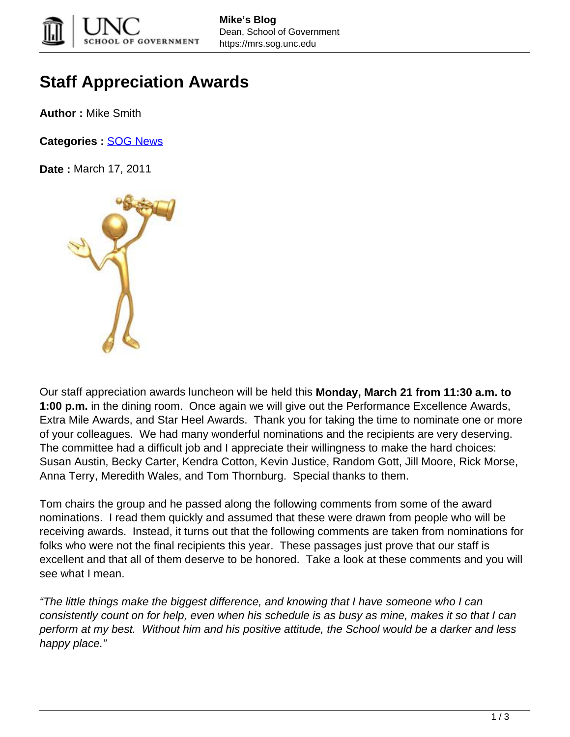

## **Staff Appreciation Awards**

**Author :** Mike Smith

**Categories :** [SOG News](https://mrs.sog.unc.edu/category/news/)

**Date :** March 17, 2011



Our staff appreciation awards luncheon will be held this **Monday, March 21 from 11:30 a.m. to 1:00 p.m.** in the dining room. Once again we will give out the Performance Excellence Awards, Extra Mile Awards, and Star Heel Awards. Thank you for taking the time to nominate one or more of your colleagues. We had many wonderful nominations and the recipients are very deserving. The committee had a difficult job and I appreciate their willingness to make the hard choices: Susan Austin, Becky Carter, Kendra Cotton, Kevin Justice, Random Gott, Jill Moore, Rick Morse, Anna Terry, Meredith Wales, and Tom Thornburg. Special thanks to them.

Tom chairs the group and he passed along the following comments from some of the award nominations. I read them quickly and assumed that these were drawn from people who will be receiving awards. Instead, it turns out that the following comments are taken from nominations for folks who were not the final recipients this year. These passages just prove that our staff is excellent and that all of them deserve to be honored. Take a look at these comments and you will see what I mean.

"The little things make the biggest difference, and knowing that I have someone who I can consistently count on for help, even when his schedule is as busy as mine, makes it so that I can perform at my best. Without him and his positive attitude, the School would be a darker and less happy place."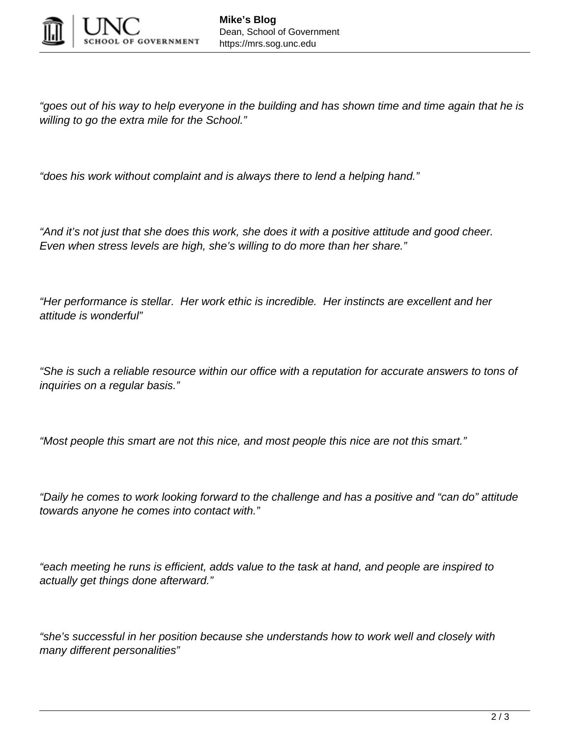

"goes out of his way to help everyone in the building and has shown time and time again that he is willing to go the extra mile for the School."

"does his work without complaint and is always there to lend a helping hand."

"And it's not just that she does this work, she does it with a positive attitude and good cheer. Even when stress levels are high, she's willing to do more than her share."

"Her performance is stellar. Her work ethic is incredible. Her instincts are excellent and her attitude is wonderful"

"She is such a reliable resource within our office with a reputation for accurate answers to tons of inquiries on a regular basis."

"Most people this smart are not this nice, and most people this nice are not this smart."

"Daily he comes to work looking forward to the challenge and has a positive and "can do" attitude towards anyone he comes into contact with."

"each meeting he runs is efficient, adds value to the task at hand, and people are inspired to actually get things done afterward."

"she's successful in her position because she understands how to work well and closely with many different personalities"